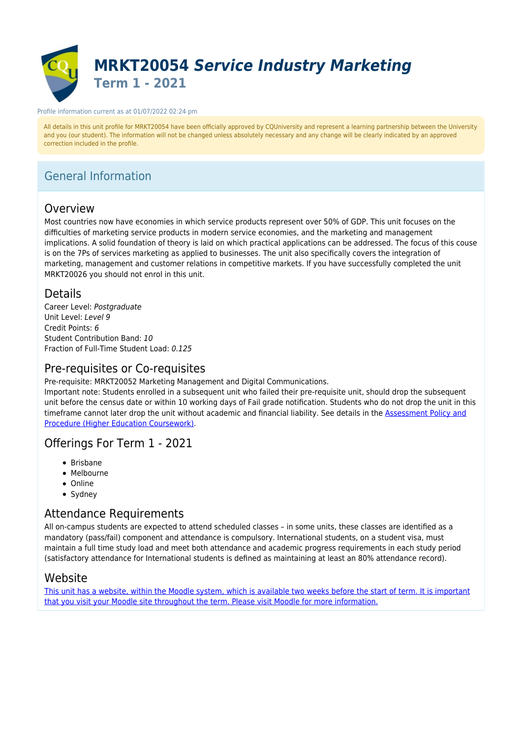

#### Profile information current as at 01/07/2022 02:24 pm

All details in this unit profile for MRKT20054 have been officially approved by CQUniversity and represent a learning partnership between the University and you (our student). The information will not be changed unless absolutely necessary and any change will be clearly indicated by an approved correction included in the profile.

# General Information

## Overview

Most countries now have economies in which service products represent over 50% of GDP. This unit focuses on the difficulties of marketing service products in modern service economies, and the marketing and management implications. A solid foundation of theory is laid on which practical applications can be addressed. The focus of this couse is on the 7Ps of services marketing as applied to businesses. The unit also specifically covers the integration of marketing, management and customer relations in competitive markets. If you have successfully completed the unit MRKT20026 you should not enrol in this unit.

## Details

Career Level: Postaraduate Unit Level: Level 9 Credit Points: 6 Student Contribution Band: 10 Fraction of Full-Time Student Load: 0.125

## Pre-requisites or Co-requisites

Pre-requisite: MRKT20052 Marketing Management and Digital Communications.

Important note: Students enrolled in a subsequent unit who failed their pre-requisite unit, should drop the subsequent unit before the census date or within 10 working days of Fail grade notification. Students who do not drop the unit in this timeframe cannot later drop the unit without academic and financial liability. See details in the [Assessment Policy and](https://www.cqu.edu.au/policy) [Procedure \(Higher Education Coursework\)](https://www.cqu.edu.au/policy).

## Offerings For Term 1 - 2021

- Brisbane
- Melbourne
- Online
- Sydney

# Attendance Requirements

All on-campus students are expected to attend scheduled classes – in some units, these classes are identified as a mandatory (pass/fail) component and attendance is compulsory. International students, on a student visa, must maintain a full time study load and meet both attendance and academic progress requirements in each study period (satisfactory attendance for International students is defined as maintaining at least an 80% attendance record).

## Website

[This unit has a website, within the Moodle system, which is available two weeks before the start of term. It is important](https://moodle.cqu.edu.au) [that you visit your Moodle site throughout the term. Please visit Moodle for more information.](https://moodle.cqu.edu.au)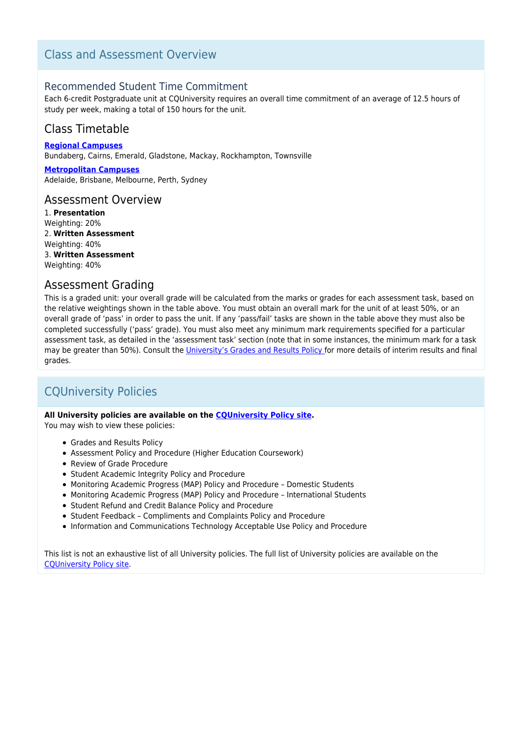## Class and Assessment Overview

## Recommended Student Time Commitment

Each 6-credit Postgraduate unit at CQUniversity requires an overall time commitment of an average of 12.5 hours of study per week, making a total of 150 hours for the unit.

## Class Timetable

**[Regional Campuses](https://handbook.cqu.edu.au/facet/timetables)** Bundaberg, Cairns, Emerald, Gladstone, Mackay, Rockhampton, Townsville

**[Metropolitan Campuses](https://handbook.cqu.edu.au/facet/timetables)** Adelaide, Brisbane, Melbourne, Perth, Sydney

## Assessment Overview

1. **Presentation** Weighting: 20% 2. **Written Assessment** Weighting: 40% 3. **Written Assessment** Weighting: 40%

## Assessment Grading

This is a graded unit: your overall grade will be calculated from the marks or grades for each assessment task, based on the relative weightings shown in the table above. You must obtain an overall mark for the unit of at least 50%, or an overall grade of 'pass' in order to pass the unit. If any 'pass/fail' tasks are shown in the table above they must also be completed successfully ('pass' grade). You must also meet any minimum mark requirements specified for a particular assessment task, as detailed in the 'assessment task' section (note that in some instances, the minimum mark for a task may be greater than 50%). Consult the [University's Grades and Results Policy](https://www.cqu.edu.au/policy) for more details of interim results and final grades.

# CQUniversity Policies

### **All University policies are available on the [CQUniversity Policy site.](https://policy.cqu.edu.au/)**

You may wish to view these policies:

- Grades and Results Policy
- Assessment Policy and Procedure (Higher Education Coursework)
- Review of Grade Procedure
- Student Academic Integrity Policy and Procedure
- Monitoring Academic Progress (MAP) Policy and Procedure Domestic Students
- Monitoring Academic Progress (MAP) Policy and Procedure International Students
- Student Refund and Credit Balance Policy and Procedure
- Student Feedback Compliments and Complaints Policy and Procedure
- Information and Communications Technology Acceptable Use Policy and Procedure

This list is not an exhaustive list of all University policies. The full list of University policies are available on the [CQUniversity Policy site.](https://policy.cqu.edu.au/)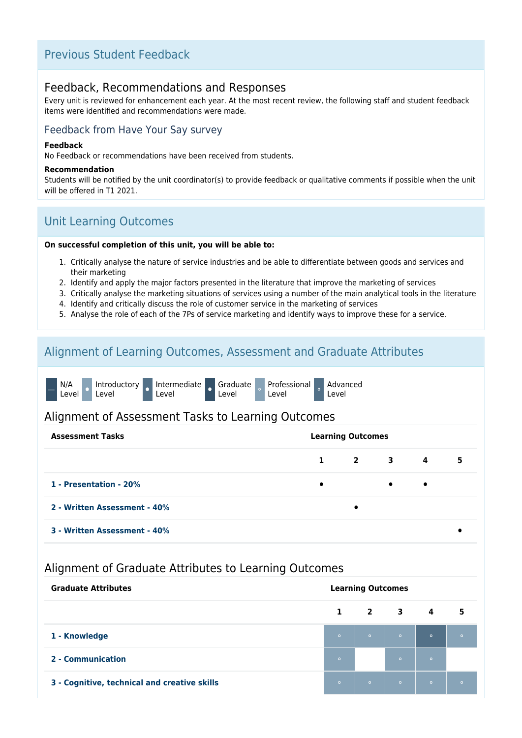# Previous Student Feedback

## Feedback, Recommendations and Responses

Every unit is reviewed for enhancement each year. At the most recent review, the following staff and student feedback items were identified and recommendations were made.

## Feedback from Have Your Say survey

#### **Feedback**

No Feedback or recommendations have been received from students.

#### **Recommendation**

Students will be notified by the unit coordinator(s) to provide feedback or qualitative comments if possible when the unit will be offered in T1 2021.

# Unit Learning Outcomes

### **On successful completion of this unit, you will be able to:**

- 1. Critically analyse the nature of service industries and be able to differentiate between goods and services and their marketing
- 2. Identify and apply the major factors presented in the literature that improve the marketing of services
- 3. Critically analyse the marketing situations of services using a number of the main analytical tools in the literature
- 4. Identify and critically discuss the role of customer service in the marketing of services
- 5. Analyse the role of each of the 7Ps of service marketing and identify ways to improve these for a service.

## Alignment of Learning Outcomes, Assessment and Graduate Attributes

|  | N/A<br>Introductory<br>Level <sup>'</sup><br>Level |  | Intermediate<br>Level |  | Graduate<br>Level |  | Professional<br>Level |  | Advanced<br>Level |
|--|----------------------------------------------------|--|-----------------------|--|-------------------|--|-----------------------|--|-------------------|
|--|----------------------------------------------------|--|-----------------------|--|-------------------|--|-----------------------|--|-------------------|

## Alignment of Assessment Tasks to Learning Outcomes

| <b>Learning Outcomes</b><br><b>Assessment Tasks</b> |           |           |                     |                |   |
|-----------------------------------------------------|-----------|-----------|---------------------|----------------|---|
|                                                     |           |           | $1 \quad 2 \quad 3$ | $\overline{4}$ | 5 |
| 1 - Presentation - 20%                              | $\bullet$ |           | $\bullet$           | $\bullet$      |   |
| 2 - Written Assessment - 40%                        |           | $\bullet$ |                     |                |   |
| 3 - Written Assessment - 40%                        |           |           |                     |                |   |

## Alignment of Graduate Attributes to Learning Outcomes

| <b>Graduate Attributes</b><br><b>Learning Outcomes</b> |              |         |                                                                                                                      |         |                            |
|--------------------------------------------------------|--------------|---------|----------------------------------------------------------------------------------------------------------------------|---------|----------------------------|
|                                                        | $\mathbf{1}$ |         | $2 \qquad 3$                                                                                                         | 4       | $\overline{\phantom{1}}$ 5 |
| 1 - Knowledge                                          | $\circ$      |         | <b>Profit to the contract of the contract of the contract of the contract of the contract of the contract of the</b> |         | $\circ$                    |
| 2 - Communication                                      | $\circ$      |         | $\circ$                                                                                                              | $\circ$ |                            |
| 3 - Cognitive, technical and creative skills           | $\circ$      | $\circ$ | $\overline{\bullet}$                                                                                                 | $\circ$ |                            |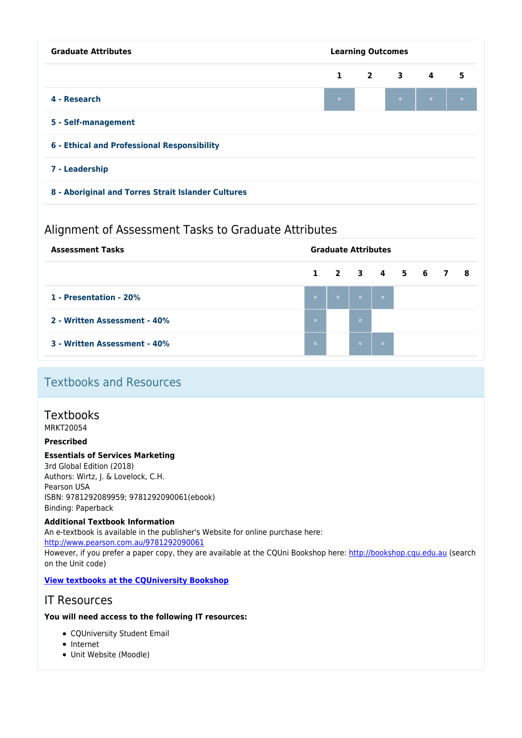| <b>Learning Outcomes</b>                           |  |         |           |                                                       |  |  |  |
|----------------------------------------------------|--|---------|-----------|-------------------------------------------------------|--|--|--|
|                                                    |  |         |           | 5                                                     |  |  |  |
| $\bullet$                                          |  | $\circ$ | $\bullet$ | $\circ$                                               |  |  |  |
| 5 - Self-management                                |  |         |           |                                                       |  |  |  |
|                                                    |  |         |           |                                                       |  |  |  |
| 7 - Leadership                                     |  |         |           |                                                       |  |  |  |
| 8 - Aboriginal and Torres Strait Islander Cultures |  |         |           |                                                       |  |  |  |
|                                                    |  |         |           | $\begin{array}{cccccccc}\n1 & 2 & 3 & 4\n\end{array}$ |  |  |  |

# Alignment of Assessment Tasks to Graduate Attributes

| <b>Assessment Tasks</b>      | <b>Graduate Attributes</b> |                 |                |                 |  |  |  |
|------------------------------|----------------------------|-----------------|----------------|-----------------|--|--|--|
|                              |                            | 1 2 3 4 5 6 7 8 |                |                 |  |  |  |
| 1 - Presentation - 20%       | $\circ$                    | $\circ$         | <b>CONTROL</b> | $\sim$ 0 $\sim$ |  |  |  |
| 2 - Written Assessment - 40% | $\circ$                    |                 | $\circ$        |                 |  |  |  |
| 3 - Written Assessment - 40% | $\circ$                    |                 | $\circ$        | $\circ$         |  |  |  |

# Textbooks and Resources

# **Textbooks**

MRKT20054

## **Prescribed**

## **Essentials of Services Marketing**

3rd Global Edition (2018) Authors: Wirtz, J. & Lovelock, C.H. Pearson USA ISBN: 9781292089959; 9781292090061(ebook) Binding: Paperback

## **Additional Textbook Information**

An e-textbook is available in the publisher's Website for online purchase here:

<http://www.pearson.com.au/9781292090061>

However, if you prefer a paper copy, they are available at the CQUni Bookshop here:<http://bookshop.cqu.edu.au>(search on the Unit code)

## **[View textbooks at the CQUniversity Bookshop](https://bookshop.cqu.edu.au/)**

## IT Resources

## **You will need access to the following IT resources:**

- CQUniversity Student Email
- Internet
- Unit Website (Moodle)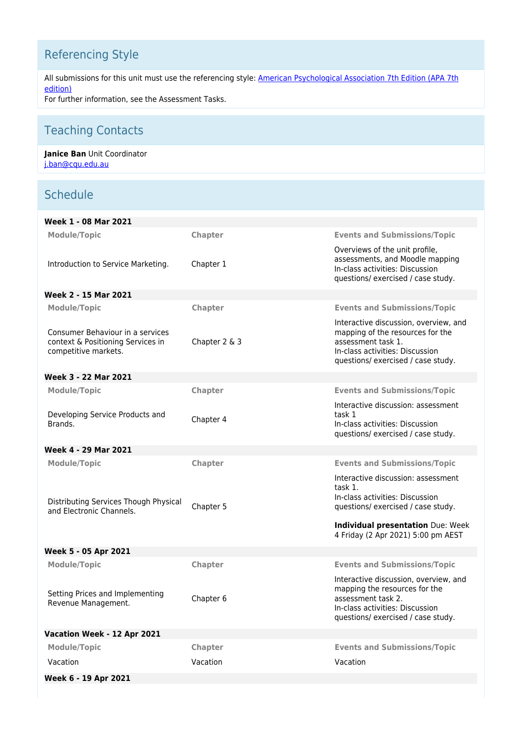# Referencing Style

All submissions for this unit must use the referencing style: [American Psychological Association 7th Edition \(APA 7th](https://delivery-cqucontenthub.stylelabs.cloud/api/public/content/apa-referencing-style.pdf?v=51e1aea7) [edition\)](https://delivery-cqucontenthub.stylelabs.cloud/api/public/content/apa-referencing-style.pdf?v=51e1aea7)

For further information, see the Assessment Tasks.

# Teaching Contacts

### **Janice Ban** Unit Coordinator [j.ban@cqu.edu.au](mailto:j.ban@cqu.edu.au)

# **Schedule**

| Week 1 - 08 Mar 2021                                                                          |                |                                                                                                                                                                          |
|-----------------------------------------------------------------------------------------------|----------------|--------------------------------------------------------------------------------------------------------------------------------------------------------------------------|
| <b>Module/Topic</b>                                                                           | Chapter        | <b>Events and Submissions/Topic</b>                                                                                                                                      |
| Introduction to Service Marketing.                                                            | Chapter 1      | Overviews of the unit profile,<br>assessments, and Moodle mapping<br>In-class activities: Discussion<br>questions/ exercised / case study.                               |
| Week 2 - 15 Mar 2021                                                                          |                |                                                                                                                                                                          |
| <b>Module/Topic</b>                                                                           | Chapter        | <b>Events and Submissions/Topic</b>                                                                                                                                      |
| Consumer Behaviour in a services<br>context & Positioning Services in<br>competitive markets. | Chapter 2 & 3  | Interactive discussion, overview, and<br>mapping of the resources for the<br>assessment task 1.<br>In-class activities: Discussion<br>questions/ exercised / case study. |
| Week 3 - 22 Mar 2021                                                                          |                |                                                                                                                                                                          |
| <b>Module/Topic</b>                                                                           | <b>Chapter</b> | <b>Events and Submissions/Topic</b>                                                                                                                                      |
| Developing Service Products and<br>Brands.                                                    | Chapter 4      | Interactive discussion: assessment<br>task 1<br>In-class activities: Discussion<br>questions/exercised / case study.                                                     |
| Week 4 - 29 Mar 2021                                                                          |                |                                                                                                                                                                          |
| <b>Module/Topic</b>                                                                           | <b>Chapter</b> | <b>Events and Submissions/Topic</b>                                                                                                                                      |
| Distributing Services Though Physical<br>and Electronic Channels.                             | Chapter 5      | Interactive discussion: assessment<br>task 1.<br>In-class activities: Discussion<br>questions/ exercised / case study.<br>Individual presentation Due: Week              |
|                                                                                               |                | 4 Friday (2 Apr 2021) 5:00 pm AEST                                                                                                                                       |
| Week 5 - 05 Apr 2021                                                                          |                |                                                                                                                                                                          |
| <b>Module/Topic</b>                                                                           | Chapter        | <b>Events and Submissions/Topic</b>                                                                                                                                      |
| Setting Prices and Implementing<br>Revenue Management.                                        | Chapter 6      | Interactive discussion, overview, and<br>mapping the resources for the<br>assessment task 2.<br>In-class activities: Discussion<br>questions/exercised / case study.     |
| Vacation Week - 12 Apr 2021                                                                   |                |                                                                                                                                                                          |
| <b>Module/Topic</b>                                                                           | Chapter        | <b>Events and Submissions/Topic</b>                                                                                                                                      |
| Vacation                                                                                      | Vacation       | Vacation                                                                                                                                                                 |
| Week 6 - 19 Apr 2021                                                                          |                |                                                                                                                                                                          |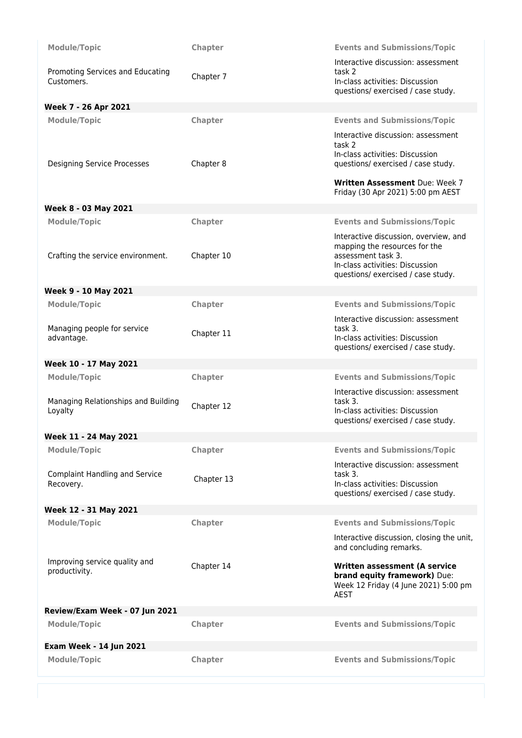| Module/Topic                                       | Chapter    | <b>Events and Submissions/Topic</b>                                  |
|----------------------------------------------------|------------|----------------------------------------------------------------------|
|                                                    |            | Interactive discussion: assessment                                   |
| Promoting Services and Educating<br>Customers.     | Chapter 7  | task 2<br>In-class activities: Discussion                            |
|                                                    |            | questions/exercised / case study.                                    |
| Week 7 - 26 Apr 2021                               |            |                                                                      |
| Module/Topic                                       | Chapter    | <b>Events and Submissions/Topic</b>                                  |
|                                                    |            | Interactive discussion: assessment<br>task <sub>2</sub>              |
|                                                    |            | In-class activities: Discussion                                      |
| Designing Service Processes                        | Chapter 8  | questions/exercised / case study.                                    |
|                                                    |            | Written Assessment Due: Week 7<br>Friday (30 Apr 2021) 5:00 pm AEST  |
| Week 8 - 03 May 2021                               |            |                                                                      |
| <b>Module/Topic</b>                                | Chapter    | <b>Events and Submissions/Topic</b>                                  |
|                                                    |            | Interactive discussion, overview, and                                |
|                                                    |            | mapping the resources for the                                        |
| Crafting the service environment.                  | Chapter 10 | assessment task 3.<br>In-class activities: Discussion                |
|                                                    |            | questions/ exercised / case study.                                   |
| Week 9 - 10 May 2021                               |            |                                                                      |
| <b>Module/Topic</b>                                | Chapter    | <b>Events and Submissions/Topic</b>                                  |
|                                                    |            | Interactive discussion: assessment                                   |
| Managing people for service<br>advantage.          | Chapter 11 | task 3.<br>In-class activities: Discussion                           |
|                                                    |            | questions/ exercised / case study.                                   |
| Week 10 - 17 May 2021                              |            |                                                                      |
| <b>Module/Topic</b>                                | Chapter    | <b>Events and Submissions/Topic</b>                                  |
|                                                    |            | Interactive discussion: assessment                                   |
| Managing Relationships and Building<br>Loyalty     | Chapter 12 | task 3.<br>In-class activities: Discussion                           |
|                                                    |            | questions/exercised / case study.                                    |
| Week 11 - 24 May 2021                              |            |                                                                      |
| <b>Module/Topic</b>                                | Chapter    | <b>Events and Submissions/Topic</b>                                  |
|                                                    |            | Interactive discussion: assessment<br>task 3.                        |
| <b>Complaint Handling and Service</b><br>Recovery. | Chapter 13 | In-class activities: Discussion                                      |
|                                                    |            | questions/exercised / case study.                                    |
| Week 12 - 31 May 2021                              |            |                                                                      |
| Module/Topic                                       | Chapter    | <b>Events and Submissions/Topic</b>                                  |
|                                                    |            | Interactive discussion, closing the unit,<br>and concluding remarks. |
| Improving service quality and                      | Chapter 14 | Written assessment (A service                                        |
| productivity.                                      |            | brand equity framework) Due:                                         |
|                                                    |            | Week 12 Friday (4 June 2021) 5:00 pm<br><b>AEST</b>                  |
| Review/Exam Week - 07 Jun 2021                     |            |                                                                      |
| <b>Module/Topic</b>                                | Chapter    | <b>Events and Submissions/Topic</b>                                  |
|                                                    |            |                                                                      |
| <b>Exam Week - 14 Jun 2021</b>                     |            |                                                                      |
| <b>Module/Topic</b>                                | Chapter    | <b>Events and Submissions/Topic</b>                                  |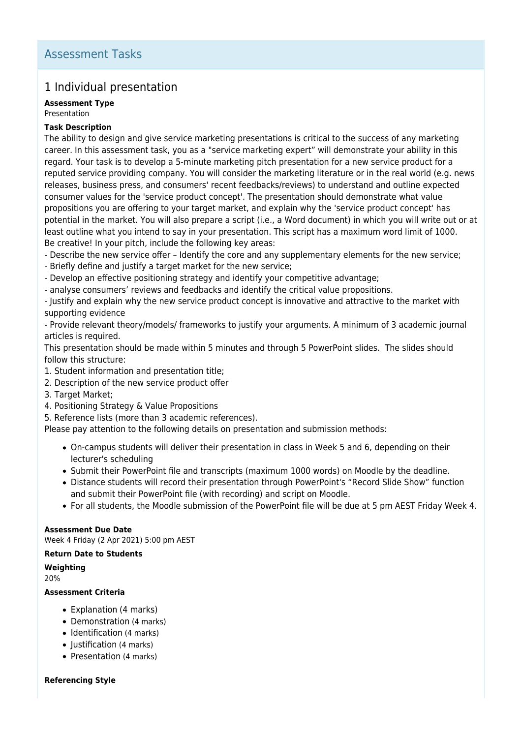## 1 Individual presentation

## **Assessment Type**

Presentation

### **Task Description**

The ability to design and give service marketing presentations is critical to the success of any marketing career. In this assessment task, you as a "service marketing expert" will demonstrate your ability in this regard. Your task is to develop a 5-minute marketing pitch presentation for a new service product for a reputed service providing company. You will consider the marketing literature or in the real world (e.g. news releases, business press, and consumers' recent feedbacks/reviews) to understand and outline expected consumer values for the 'service product concept'. The presentation should demonstrate what value propositions you are offering to your target market, and explain why the 'service product concept' has potential in the market. You will also prepare a script (i.e., a Word document) in which you will write out or at least outline what you intend to say in your presentation. This script has a maximum word limit of 1000. Be creative! In your pitch, include the following key areas:

- Describe the new service offer – Identify the core and any supplementary elements for the new service;

- Briefly define and justify a target market for the new service;

- Develop an effective positioning strategy and identify your competitive advantage;

- analyse consumers' reviews and feedbacks and identify the critical value propositions.

- Justify and explain why the new service product concept is innovative and attractive to the market with supporting evidence

- Provide relevant theory/models/ frameworks to justify your arguments. A minimum of 3 academic journal articles is required.

This presentation should be made within 5 minutes and through 5 PowerPoint slides. The slides should follow this structure:

- 1. Student information and presentation title;
- 2. Description of the new service product offer
- 3. Target Market;
- 4. Positioning Strategy & Value Propositions
- 5. Reference lists (more than 3 academic references).

Please pay attention to the following details on presentation and submission methods:

- On-campus students will deliver their presentation in class in Week 5 and 6, depending on their lecturer's scheduling
- Submit their PowerPoint file and transcripts (maximum 1000 words) on Moodle by the deadline.
- Distance students will record their presentation through PowerPoint's "Record Slide Show" function and submit their PowerPoint file (with recording) and script on Moodle.
- For all students, the Moodle submission of the PowerPoint file will be due at 5 pm AEST Friday Week 4.

**Assessment Due Date** Week 4 Friday (2 Apr 2021) 5:00 pm AEST

### **Return Date to Students**

**Weighting** 20%

### **Assessment Criteria**

- Explanation (4 marks)
- Demonstration (4 marks)
- Identification (4 marks)
- Justification (4 marks)
- Presentation (4 marks)

### **Referencing Style**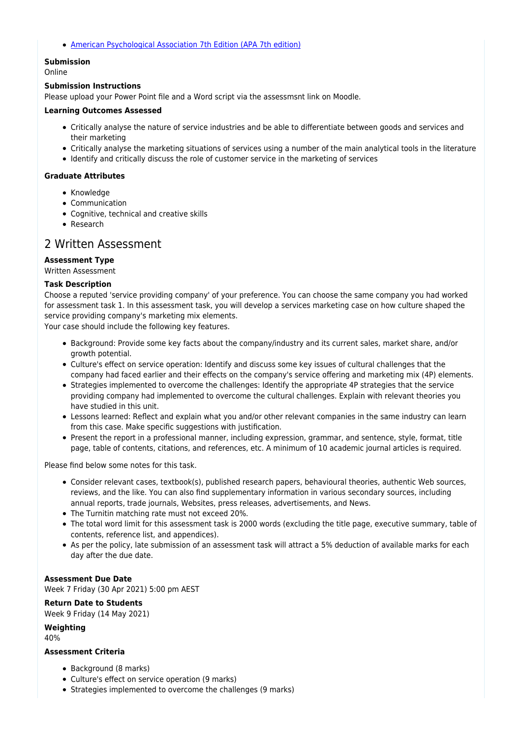[American Psychological Association 7th Edition \(APA 7th edition\)](https://delivery-cqucontenthub.stylelabs.cloud/api/public/content/apa-referencing-style.pdf?v=51e1aea7)

## **Submission**

Online

#### **Submission Instructions**

Please upload your Power Point file and a Word script via the assessmsnt link on Moodle.

#### **Learning Outcomes Assessed**

- Critically analyse the nature of service industries and be able to differentiate between goods and services and their marketing
- Critically analyse the marketing situations of services using a number of the main analytical tools in the literature
- Identify and critically discuss the role of customer service in the marketing of services

#### **Graduate Attributes**

- Knowledge
- Communication
- Cognitive, technical and creative skills
- Research

## 2 Written Assessment

### **Assessment Type**

Written Assessment

#### **Task Description**

Choose a reputed 'service providing company' of your preference. You can choose the same company you had worked for assessment task 1. In this assessment task, you will develop a services marketing case on how culture shaped the service providing company's marketing mix elements.

Your case should include the following key features.

- Background: Provide some key facts about the company/industry and its current sales, market share, and/or growth potential.
- Culture's effect on service operation: Identify and discuss some key issues of cultural challenges that the company had faced earlier and their effects on the company's service offering and marketing mix (4P) elements.
- Strategies implemented to overcome the challenges: Identify the appropriate 4P strategies that the service providing company had implemented to overcome the cultural challenges. Explain with relevant theories you have studied in this unit.
- Lessons learned: Reflect and explain what you and/or other relevant companies in the same industry can learn from this case. Make specific suggestions with justification.
- Present the report in a professional manner, including expression, grammar, and sentence, style, format, title page, table of contents, citations, and references, etc. A minimum of 10 academic journal articles is required.

Please find below some notes for this task.

- Consider relevant cases, textbook(s), published research papers, behavioural theories, authentic Web sources, reviews, and the like. You can also find supplementary information in various secondary sources, including annual reports, trade journals, Websites, press releases, advertisements, and News.
- The Turnitin matching rate must not exceed 20%.
- The total word limit for this assessment task is 2000 words (excluding the title page, executive summary, table of contents, reference list, and appendices).
- As per the policy, late submission of an assessment task will attract a 5% deduction of available marks for each day after the due date.

#### **Assessment Due Date**

Week 7 Friday (30 Apr 2021) 5:00 pm AEST

**Return Date to Students** Week 9 Friday (14 May 2021)

**Weighting**

40%

#### **Assessment Criteria**

- Background (8 marks)
- Culture's effect on service operation (9 marks)
- Strategies implemented to overcome the challenges (9 marks)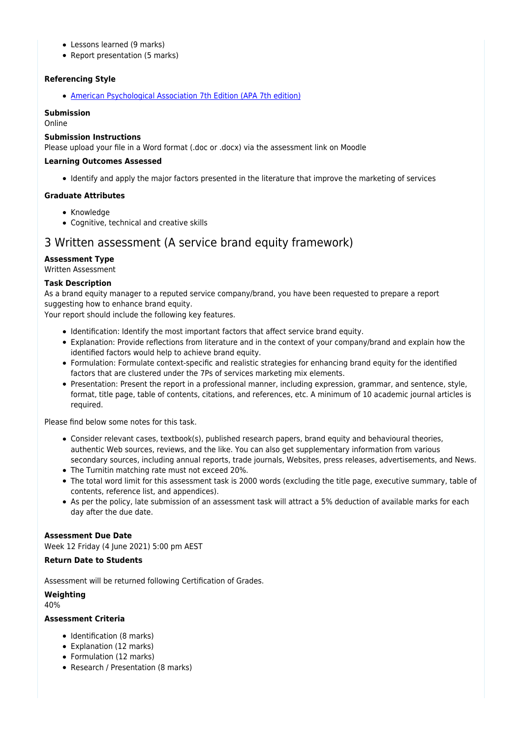- Lessons learned (9 marks)
- Report presentation (5 marks)

### **Referencing Style**

[American Psychological Association 7th Edition \(APA 7th edition\)](https://delivery-cqucontenthub.stylelabs.cloud/api/public/content/apa-referencing-style.pdf?v=51e1aea7)

### **Submission**

Online

### **Submission Instructions**

Please upload your file in a Word format (.doc or .docx) via the assessment link on Moodle

#### **Learning Outcomes Assessed**

Identify and apply the major factors presented in the literature that improve the marketing of services

### **Graduate Attributes**

- Knowledge
- Cognitive, technical and creative skills

## 3 Written assessment (A service brand equity framework)

### **Assessment Type**

Written Assessment

### **Task Description**

As a brand equity manager to a reputed service company/brand, you have been requested to prepare a report suggesting how to enhance brand equity.

Your report should include the following key features.

- Identification: Identify the most important factors that affect service brand equity.
- Explanation: Provide reflections from literature and in the context of your company/brand and explain how the identified factors would help to achieve brand equity.
- Formulation: Formulate context-specific and realistic strategies for enhancing brand equity for the identified factors that are clustered under the 7Ps of services marketing mix elements.
- Presentation: Present the report in a professional manner, including expression, grammar, and sentence, style, format, title page, table of contents, citations, and references, etc. A minimum of 10 academic journal articles is required.

Please find below some notes for this task.

- Consider relevant cases, textbook(s), published research papers, brand equity and behavioural theories, authentic Web sources, reviews, and the like. You can also get supplementary information from various secondary sources, including annual reports, trade journals, Websites, press releases, advertisements, and News.
- The Turnitin matching rate must not exceed 20%.
- The total word limit for this assessment task is 2000 words (excluding the title page, executive summary, table of contents, reference list, and appendices).
- As per the policy, late submission of an assessment task will attract a 5% deduction of available marks for each day after the due date.

#### **Assessment Due Date**

Week 12 Friday (4 June 2021) 5:00 pm AEST

#### **Return Date to Students**

Assessment will be returned following Certification of Grades.

### **Weighting**

40%

## **Assessment Criteria**

- Identification (8 marks)
- Explanation (12 marks)
- Formulation (12 marks)
- Research / Presentation (8 marks)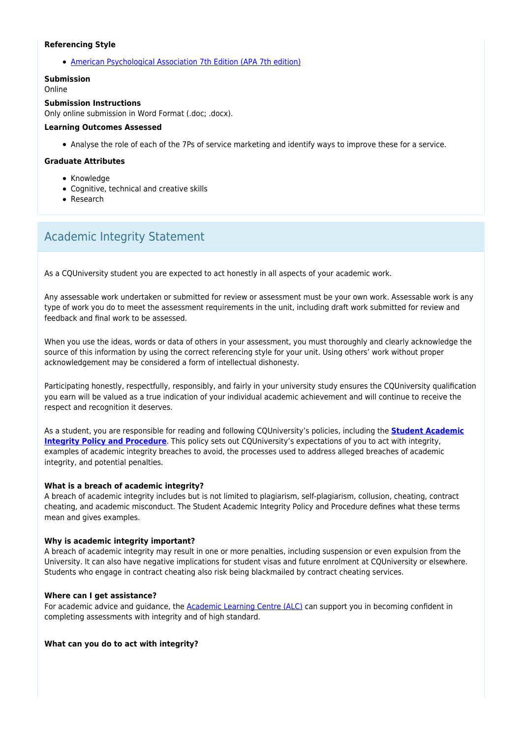#### **Referencing Style**

[American Psychological Association 7th Edition \(APA 7th edition\)](https://delivery-cqucontenthub.stylelabs.cloud/api/public/content/apa-referencing-style.pdf?v=51e1aea7)

#### **Submission**

Online

#### **Submission Instructions**

Only online submission in Word Format (.doc; .docx).

#### **Learning Outcomes Assessed**

Analyse the role of each of the 7Ps of service marketing and identify ways to improve these for a service.

#### **Graduate Attributes**

- Knowledge
- Cognitive, technical and creative skills
- Research

# Academic Integrity Statement

As a CQUniversity student you are expected to act honestly in all aspects of your academic work.

Any assessable work undertaken or submitted for review or assessment must be your own work. Assessable work is any type of work you do to meet the assessment requirements in the unit, including draft work submitted for review and feedback and final work to be assessed.

When you use the ideas, words or data of others in your assessment, you must thoroughly and clearly acknowledge the source of this information by using the correct referencing style for your unit. Using others' work without proper acknowledgement may be considered a form of intellectual dishonesty.

Participating honestly, respectfully, responsibly, and fairly in your university study ensures the CQUniversity qualification you earn will be valued as a true indication of your individual academic achievement and will continue to receive the respect and recognition it deserves.

As a student, you are responsible for reading and following CQUniversity's policies, including the **[Student Academic](https://www.cqu.edu.au/policy/sharepoint-document-download?file_uri={BE8380F3-F86D-4C55-AC0D-84A81EAFD6A2}/Student%20Academic%20Integrity%20Policy%20and%20Procedure%20(formerly%20known%20as%20the%20Academic%20Misconduct%20Procedure).pdf) [Integrity Policy and Procedure](https://www.cqu.edu.au/policy/sharepoint-document-download?file_uri={BE8380F3-F86D-4C55-AC0D-84A81EAFD6A2}/Student%20Academic%20Integrity%20Policy%20and%20Procedure%20(formerly%20known%20as%20the%20Academic%20Misconduct%20Procedure).pdf)**. This policy sets out CQUniversity's expectations of you to act with integrity, examples of academic integrity breaches to avoid, the processes used to address alleged breaches of academic integrity, and potential penalties.

#### **What is a breach of academic integrity?**

A breach of academic integrity includes but is not limited to plagiarism, self-plagiarism, collusion, cheating, contract cheating, and academic misconduct. The Student Academic Integrity Policy and Procedure defines what these terms mean and gives examples.

#### **Why is academic integrity important?**

A breach of academic integrity may result in one or more penalties, including suspension or even expulsion from the University. It can also have negative implications for student visas and future enrolment at CQUniversity or elsewhere. Students who engage in contract cheating also risk being blackmailed by contract cheating services.

#### **Where can I get assistance?**

For academic advice and guidance, the [Academic Learning Centre \(ALC\)](https://www.cqu.edu.au/student-life/academic-learning-centre) can support you in becoming confident in completing assessments with integrity and of high standard.

#### **What can you do to act with integrity?**